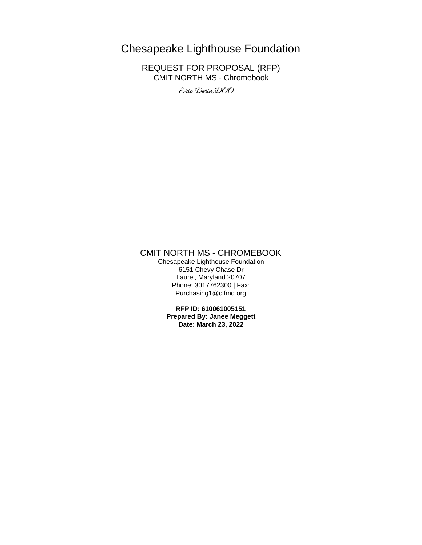# Chesapeake Lighthouse Foundation

REQUEST FOR PROPOSAL (RFP) CMIT NORTH MS - Chromebook

Eric Derin, DOO

# CMIT NORTH MS - CHROMEBOOK

Chesapeake Lighthouse Foundation 6151 Chevy Chase Dr Laurel, Maryland 20707 Phone: 3017762300 | Fax: Purchasing1@clfmd.org

**RFP ID: 610061005151 Prepared By: Janee Meggett Date: March 23, 2022**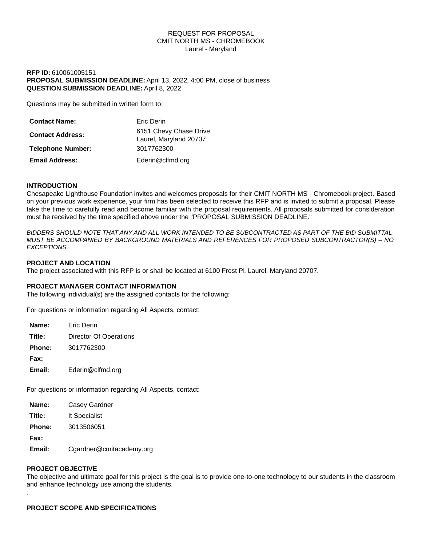#### REQUEST FOR PROPOSAL CMIT NORTH MS - CHROMEBOOK Laurel - Maryland

# **RFP ID:** 610061005151 **PROPOSAL SUBMISSION DEADLINE:** April 13, 2022, 4:00 PM, close of business **QUESTION SUBMISSION DEADLINE:** April 8, 2022

Questions may be submitted in written form to:

| <b>Contact Name:</b>     | Eric Derin                                       |
|--------------------------|--------------------------------------------------|
| <b>Contact Address:</b>  | 6151 Chevy Chase Drive<br>Laurel, Maryland 20707 |
| <b>Telephone Number:</b> | 3017762300                                       |
| <b>Email Address:</b>    | Ederin@clfmd.org                                 |

# **INTRODUCTION**

Chesapeake Lighthouse Foundation invites and welcomes proposals for their CMIT NORTH MS - Chromebook project. Based on your previous work experience, your firm has been selected to receive this RFP and is invited to submit a proposal. Please take the time to carefully read and become familiar with the proposal requirements. All proposals submitted for consideration must be received by the time specified above under the "PROPOSAL SUBMISSION DEADLINE."

*BIDDERS SHOULD NOTE THAT ANY AND ALL WORK INTENDED TO BE SUBCONTRACTED AS PART OF THE BID SUBMITTAL MUST BE ACCOMPANIED BY BACKGROUND MATERIALS AND REFERENCES FOR PROPOSED SUBCONTRACTOR(S) – NO EXCEPTIONS.*

#### **PROJECT AND LOCATION**

The project associated with this RFP is or shall be located at 6100 Frost Pl, Laurel, Maryland 20707.

#### **PROJECT MANAGER CONTACT INFORMATION**

The following individual(s) are the assigned contacts for the following:

For questions or information regarding All Aspects, contact:

| Name:         | <b>Fric Derin</b>      |
|---------------|------------------------|
| Title:        | Director Of Operations |
| <b>Phone:</b> | 3017762300             |
| Fax:          |                        |
| Email:        | Ederin@clfmd.org       |

For questions or information regarding All Aspects, contact:

| Name:         | Casey Gardner            |
|---------------|--------------------------|
| Title:        | It Specialist            |
| <b>Phone:</b> | 3013506051               |
| Fax:          |                          |
| Email:        | Cgardner@cmitacademy.org |

#### **PROJECT OBJECTIVE**

.

The objective and ultimate goal for this project is the goal is to provide one-to-one technology to our students in the classroom and enhance technology use among the students.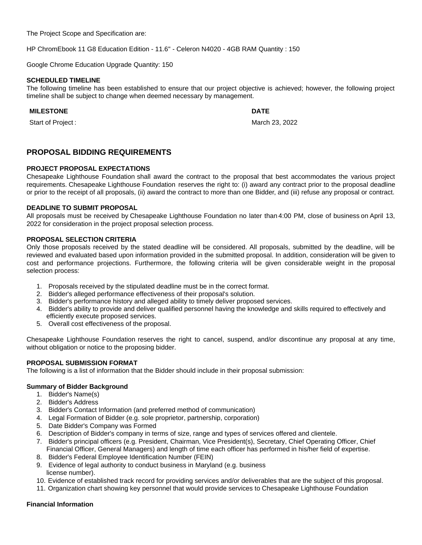The Project Scope and Specification are:

HP ChromEbook 11 G8 Education Edition - 11.6'' - Celeron N4020 - 4GB RAM Quantity : 150

Google Chrome Education Upgrade Quantity: 150

# **SCHEDULED TIMELINE**

The following timeline has been established to ensure that our project objective is achieved; however, the following project timeline shall be subject to change when deemed necessary by management.

# **MILESTONE DATE**

Start of Project : March 23, 2022

# **PROPOSAL BIDDING REQUIREMENTS**

# **PROJECT PROPOSAL EXPECTATIONS**

Chesapeake Lighthouse Foundation shall award the contract to the proposal that best accommodates the various project requirements. Chesapeake Lighthouse Foundation reserves the right to: (i) award any contract prior to the proposal deadline or prior to the receipt of all proposals, (ii) award the contract to more than one Bidder, and (iii) refuse any proposal or contract.

# **DEADLINE TO SUBMIT PROPOSAL**

All proposals must be received by Chesapeake Lighthouse Foundation no later than 4:00 PM, close of business on April 13, 2022 for consideration in the project proposal selection process.

# **PROPOSAL SELECTION CRITERIA**

Only those proposals received by the stated deadline will be considered. All proposals, submitted by the deadline, will be reviewed and evaluated based upon information provided in the submitted proposal. In addition, consideration will be given to cost and performance projections. Furthermore, the following criteria will be given considerable weight in the proposal selection process:

- 1. Proposals received by the stipulated deadline must be in the correct format.
- 2. Bidder's alleged performance effectiveness of their proposal's solution.
- 3. Bidder's performance history and alleged ability to timely deliver proposed services.
- 4. Bidder's ability to provide and deliver qualified personnel having the knowledge and skills required to effectively and efficiently execute proposed services.
- 5. Overall cost effectiveness of the proposal.

Chesapeake Lighthouse Foundation reserves the right to cancel, suspend, and/or discontinue any proposal at any time, without obligation or notice to the proposing bidder.

# **PROPOSAL SUBMISSION FORMAT**

The following is a list of information that the Bidder should include in their proposal submission:

# **Summary of Bidder Background**

- 1. Bidder's Name(s)
- 2. Bidder's Address
- 3. Bidder's Contact Information (and preferred method of communication)
- 4. Legal Formation of Bidder (e.g. sole proprietor, partnership, corporation)
- 5. Date Bidder's Company was Formed
- 6. Description of Bidder's company in terms of size, range and types of services offered and clientele.
- 7. Bidder's principal officers (e.g. President, Chairman, Vice President(s), Secretary, Chief Operating Officer, Chief Financial Officer, General Managers) and length of time each officer has performed in his/her field of expertise.
- 8. Bidder's Federal Employee Identification Number (FEIN)
- 9. Evidence of legal authority to conduct business in Maryland (e.g. business license number).
- 10. Evidence of established track record for providing services and/or deliverables that are the subject of this proposal.
- 11. Organization chart showing key personnel that would provide services to Chesapeake Lighthouse Foundation

# **Financial Information**